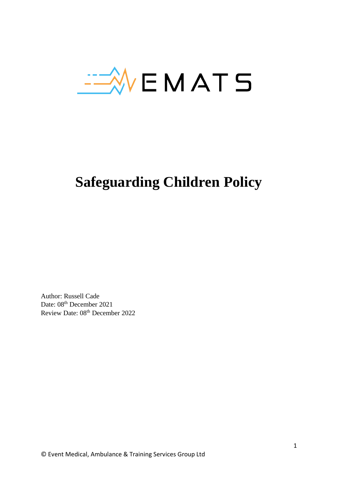

# **Safeguarding Children Policy**

Author: Russell Cade Date: 08<sup>th</sup> December 2021 Review Date: 08<sup>th</sup> December 2022

© Event Medical, Ambulance & Training Services Group Ltd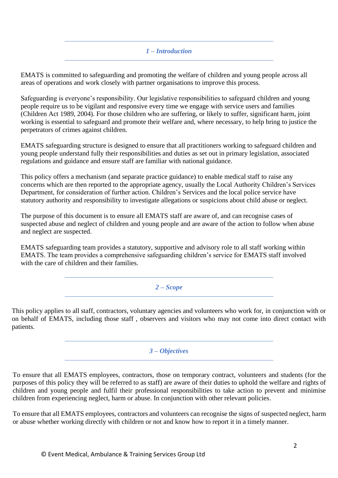# *1 – Introduction*

EMATS is committed to safeguarding and promoting the welfare of children and young people across all areas of operations and work closely with partner organisations to improve this process.

Safeguarding is everyone's responsibility. Our legislative responsibilities to safeguard children and young people require us to be vigilant and responsive every time we engage with service users and families (Children Act 1989, 2004). For those children who are suffering, or likely to suffer, significant harm, joint working is essential to safeguard and promote their welfare and, where necessary, to help bring to justice the perpetrators of crimes against children.

EMATS safeguarding structure is designed to ensure that all practitioners working to safeguard children and young people understand fully their responsibilities and duties as set out in primary legislation, associated regulations and guidance and ensure staff are familiar with national guidance.

This policy offers a mechanism (and separate practice guidance) to enable medical staff to raise any concerns which are then reported to the appropriate agency, usually the Local Authority Children's Services Department, for consideration of further action. Children's Services and the local police service have statutory authority and responsibility to investigate allegations or suspicions about child abuse or neglect.

The purpose of this document is to ensure all EMATS staff are aware of, and can recognise cases of suspected abuse and neglect of children and young people and are aware of the action to follow when abuse and neglect are suspected.

EMATS safeguarding team provides a statutory, supportive and advisory role to all staff working within EMATS. The team provides a comprehensive safeguarding children's service for EMATS staff involved with the care of children and their families.

*2 – Scope*

This policy applies to all staff, contractors, voluntary agencies and volunteers who work for, in conjunction with or on behalf of EMATS, including those staff , observers and visitors who may not come into direct contact with patients.

## *3 – Objectives*

To ensure that all EMATS employees, contractors, those on temporary contract, volunteers and students (for the purposes of this policy they will be referred to as staff) are aware of their duties to uphold the welfare and rights of children and young people and fulfil their professional responsibilities to take action to prevent and minimise children from experiencing neglect, harm or abuse. In conjunction with other relevant policies.

To ensure that all EMATS employees, contractors and volunteers can recognise the signs of suspected neglect, harm or abuse whether working directly with children or not and know how to report it in a timely manner.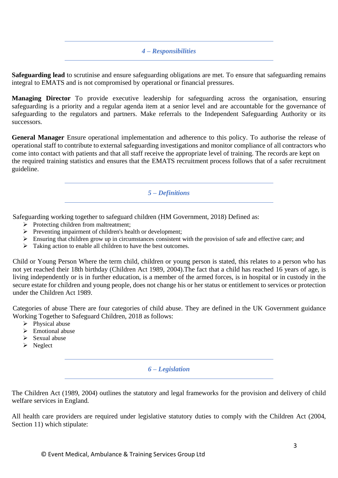#### *4 – Responsibilities*

**Safeguarding lead** to scrutinise and ensure safeguarding obligations are met. To ensure that safeguarding remains integral to EMATS and is not compromised by operational or financial pressures.

**Managing Director** To provide executive leadership for safeguarding across the organisation, ensuring safeguarding is a priority and a regular agenda item at a senior level and are accountable for the governance of safeguarding to the regulators and partners. Make referrals to the Independent Safeguarding Authority or its successors.

**General Manager** Ensure operational implementation and adherence to this policy. To authorise the release of operational staff to contribute to external safeguarding investigations and monitor compliance of all contractors who come into contact with patients and that all staff receive the appropriate level of training. The records are kept on the required training statistics and ensures that the EMATS recruitment process follows that of a safer recruitment guideline.

#### *5 – Definitions*

Safeguarding working together to safeguard children (HM Government, 2018) Defined as:

- ➢ Protecting children from maltreatment;
- ➢ Preventing impairment of children's health or development;
- ➢ Ensuring that children grow up in circumstances consistent with the provision of safe and effective care; and
- ➢ Taking action to enable all children to have the best outcomes.

Child or Young Person Where the term child, children or young person is stated, this relates to a person who has not yet reached their 18th birthday (Children Act 1989, 2004).The fact that a child has reached 16 years of age, is living independently or is in further education, is a member of the armed forces, is in hospital or in custody in the secure estate for children and young people, does not change his or her status or entitlement to services or protection under the Children Act 1989.

Categories of abuse There are four categories of child abuse. They are defined in the UK Government guidance Working Together to Safeguard Children, 2018 as follows:

- $\triangleright$  Physical abuse
- $\triangleright$  Emotional abuse
- ➢ Sexual abuse
- ➢ Neglect

#### *6 – Legislation*

The Children Act (1989, 2004) outlines the statutory and legal frameworks for the provision and delivery of child welfare services in England.

All health care providers are required under legislative statutory duties to comply with the Children Act (2004, Section 11) which stipulate: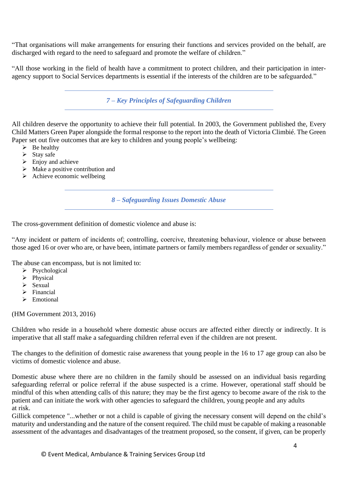"That organisations will make arrangements for ensuring their functions and services provided on the behalf, are discharged with regard to the need to safeguard and promote the welfare of children."

"All those working in the field of health have a commitment to protect children, and their participation in interagency support to Social Services departments is essential if the interests of the children are to be safeguarded."

*7 – Key Principles of Safeguarding Children*

All children deserve the opportunity to achieve their full potential. In 2003, the Government published the, Every Child Matters Green Paper alongside the formal response to the report into the death of Victoria Climbié. The Green Paper set out five outcomes that are key to children and young people's wellbeing:

- $\triangleright$  Be healthy
- $\triangleright$  Stay safe
- $\triangleright$  Enjoy and achieve
- ➢ Make a positive contribution and
- $\triangleright$  Achieve economic wellbeing

*8 – Safeguarding Issues Domestic Abuse*

The cross-government definition of domestic violence and abuse is:

"Any incident or pattern of incidents of; controlling, coercive, threatening behaviour, violence or abuse between those aged 16 or over who are, or have been, intimate partners or family members regardless of gender or sexuality."

The abuse can encompass, but is not limited to:

- ➢ Psychological
- ➢ Physical
- $\triangleright$  Sexual
- ➢ Financial
- ➢ Emotional

(HM Government 2013, 2016)

Children who reside in a household where domestic abuse occurs are affected either directly or indirectly. It is imperative that all staff make a safeguarding children referral even if the children are not present.

The changes to the definition of domestic raise awareness that young people in the 16 to 17 age group can also be victims of domestic violence and abuse.

Domestic abuse where there are no children in the family should be assessed on an individual basis regarding safeguarding referral or police referral if the abuse suspected is a crime. However, operational staff should be mindful of this when attending calls of this nature; they may be the first agency to become aware of the risk to the patient and can initiate the work with other agencies to safeguard the children, young people and any adults at risk.

Gillick competence "...whether or not a child is capable of giving the necessary consent will depend on the child's maturity and understanding and the nature of the consent required. The child must be capable of making a reasonable assessment of the advantages and disadvantages of the treatment proposed, so the consent, if given, can be properly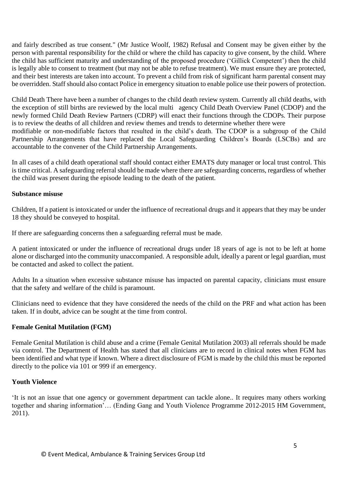and fairly described as true consent." (Mr Justice Woolf, 1982) Refusal and Consent may be given either by the person with parental responsibility for the child or where the child has capacity to give consent, by the child. Where the child has sufficient maturity and understanding of the proposed procedure ('Gillick Competent') then the child is legally able to consent to treatment (but may not be able to refuse treatment). We must ensure they are protected, and their best interests are taken into account. To prevent a child from risk of significant harm parental consent may be overridden. Staff should also contact Police in emergency situation to enable police use their powers of protection.

Child Death There have been a number of changes to the child death review system. Currently all child deaths, with the exception of still births are reviewed by the local multi agency Child Death Overview Panel (CDOP) and the newly formed Child Death Review Partners (CDRP) will enact their functions through the CDOPs. Their purpose is to review the deaths of all children and review themes and trends to determine whether there were modifiable or non-modifiable factors that resulted in the child's death. The CDOP is a subgroup of the Child Partnership Arrangements that have replaced the Local Safeguarding Children's Boards (LSCBs) and are

accountable to the convener of the Child Partnership Arrangements.

In all cases of a child death operational staff should contact either EMATS duty manager or local trust control. This is time critical. A safeguarding referral should be made where there are safeguarding concerns, regardless of whether the child was present during the episode leading to the death of the patient.

#### **Substance misuse**

Children, If a patient is intoxicated or under the influence of recreational drugs and it appears that they may be under 18 they should be conveyed to hospital.

If there are safeguarding concerns then a safeguarding referral must be made.

A patient intoxicated or under the influence of recreational drugs under 18 years of age is not to be left at home alone or discharged into the community unaccompanied. A responsible adult, ideally a parent or legal guardian, must be contacted and asked to collect the patient.

Adults In a situation when excessive substance misuse has impacted on parental capacity, clinicians must ensure that the safety and welfare of the child is paramount.

Clinicians need to evidence that they have considered the needs of the child on the PRF and what action has been taken. If in doubt, advice can be sought at the time from control.

## **Female Genital Mutilation (FGM)**

Female Genital Mutilation is child abuse and a crime (Female Genital Mutilation 2003) all referrals should be made via control. The Department of Health has stated that all clinicians are to record in clinical notes when FGM has been identified and what type if known. Where a direct disclosure of FGM is made by the child this must be reported directly to the police via 101 or 999 if an emergency.

## **Youth Violence**

'It is not an issue that one agency or government department can tackle alone.. It requires many others working together and sharing information'… (Ending Gang and Youth Violence Programme 2012-2015 HM Government, 2011).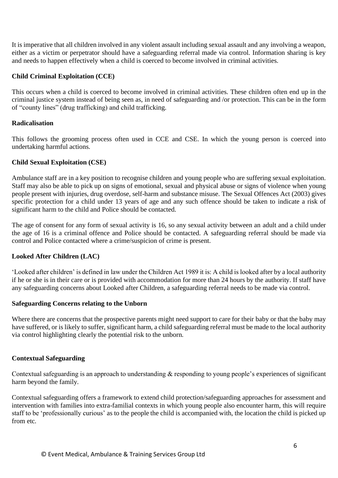It is imperative that all children involved in any violent assault including sexual assault and any involving a weapon, either as a victim or perpetrator should have a safeguarding referral made via control. Information sharing is key and needs to happen effectively when a child is coerced to become involved in criminal activities.

# **Child Criminal Exploitation (CCE)**

This occurs when a child is coerced to become involved in criminal activities. These children often end up in the criminal justice system instead of being seen as, in need of safeguarding and /or protection. This can be in the form of "county lines" (drug trafficking) and child trafficking.

#### **Radicalisation**

This follows the grooming process often used in CCE and CSE. In which the young person is coerced into undertaking harmful actions.

## **Child Sexual Exploitation (CSE)**

Ambulance staff are in a key position to recognise children and young people who are suffering sexual exploitation. Staff may also be able to pick up on signs of emotional, sexual and physical abuse or signs of violence when young people present with injuries, drug overdose, self-harm and substance misuse. The Sexual Offences Act (2003) gives specific protection for a child under 13 years of age and any such offence should be taken to indicate a risk of significant harm to the child and Police should be contacted.

The age of consent for any form of sexual activity is 16, so any sexual activity between an adult and a child under the age of 16 is a criminal offence and Police should be contacted. A safeguarding referral should be made via control and Police contacted where a crime/suspicion of crime is present.

## **Looked After Children (LAC)**

'Looked after children' is defined in law under the Children Act 1989 it is: A child is looked after by a local authority if he or she is in their care or is provided with accommodation for more than 24 hours by the authority. If staff have any safeguarding concerns about Looked after Children, a safeguarding referral needs to be made via control.

#### **Safeguarding Concerns relating to the Unborn**

Where there are concerns that the prospective parents might need support to care for their baby or that the baby may have suffered, or is likely to suffer, significant harm, a child safeguarding referral must be made to the local authority via control highlighting clearly the potential risk to the unborn.

#### **Contextual Safeguarding**

Contextual safeguarding is an approach to understanding & responding to young people's experiences of significant harm beyond the family.

Contextual safeguarding offers a framework to extend child protection/safeguarding approaches for assessment and intervention with families into extra-familial contexts in which young people also encounter harm, this will require staff to be 'professionally curious' as to the people the child is accompanied with, the location the child is picked up from etc.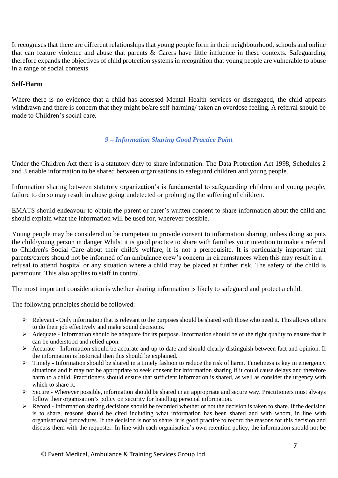It recognises that there are different relationships that young people form in their neighbourhood, schools and online that can feature violence and abuse that parents & Carers have little influence in these contexts. Safeguarding therefore expands the objectives of child protection systems in recognition that young people are vulnerable to abuse in a range of social contexts.

# **Self-Harm**

Where there is no evidence that a child has accessed Mental Health services or disengaged, the child appears withdrawn and there is concern that they might be/are self-harming/ taken an overdose feeling. A referral should be made to Children's social care.

*9 – Information Sharing Good Practice Point*

Under the Children Act there is a statutory duty to share information. The Data Protection Act 1998, Schedules 2 and 3 enable information to be shared between organisations to safeguard children and young people.

Information sharing between statutory organization's is fundamental to safeguarding children and young people, failure to do so may result in abuse going undetected or prolonging the suffering of children.

EMATS should endeavour to obtain the parent or carer's written consent to share information about the child and should explain what the information will be used for, wherever possible.

Young people may be considered to be competent to provide consent to information sharing, unless doing so puts the child/young person in danger Whilst it is good practice to share with families your intention to make a referral to Children's Social Care about their child's welfare, it is not a prerequisite. It is particularly important that parents/carers should not be informed of an ambulance crew's concern in circumstances when this may result in a refusal to attend hospital or any situation where a child may be placed at further risk. The safety of the child is paramount. This also applies to staff in control.

The most important consideration is whether sharing information is likely to safeguard and protect a child.

The following principles should be followed:

- $\triangleright$  Relevant Only information that is relevant to the purposes should be shared with those who need it. This allows others to do their job effectively and make sound decisions.
- $\triangleright$  Adequate Information should be adequate for its purpose. Information should be of the right quality to ensure that it can be understood and relied upon.
- ➢ Accurate Information should be accurate and up to date and should clearly distinguish between fact and opinion. If the information is historical then this should be explained.
- $\triangleright$  Timely Information should be shared in a timely fashion to reduce the risk of harm. Timeliness is key in emergency situations and it may not be appropriate to seek consent for information sharing if it could cause delays and therefore harm to a child. Practitioners should ensure that sufficient information is shared, as well as consider the urgency with which to share it.
- ➢ Secure Wherever possible, information should be shared in an appropriate and secure way. Practitioners must always follow their organisation's policy on security for handling personal information.
- $\triangleright$  Record Information sharing decisions should be recorded whether or not the decision is taken to share. If the decision is to share, reasons should be cited including what information has been shared and with whom, in line with organisational procedures. If the decision is not to share, it is good practice to record the reasons for this decision and discuss them with the requester. In line with each organisation's own retention policy, the information should not be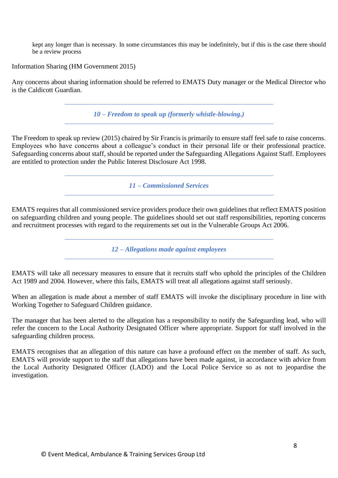kept any longer than is necessary. In some circumstances this may be indefinitely, but if this is the case there should be a review process

Information Sharing (HM Government 2015)

Any concerns about sharing information should be referred to EMATS Duty manager or the Medical Director who is the Caldicott Guardian.

*10 – Freedom to speak up (formerly whistle-blowing.)*

The Freedom to speak up review (2015) chaired by Sir Francis is primarily to ensure staff feel safe to raise concerns. Employees who have concerns about a colleague's conduct in their personal life or their professional practice. Safeguarding concerns about staff, should be reported under the Safeguarding Allegations Against Staff. Employees are entitled to protection under the Public Interest Disclosure Act 1998.

*11 – Commissioned Services*

EMATS requires that all commissioned service providers produce their own guidelines that reflect EMATS position on safeguarding children and young people. The guidelines should set out staff responsibilities, reporting concerns and recruitment processes with regard to the requirements set out in the Vulnerable Groups Act 2006.

*12 – Allegations made against employees*

EMATS will take all necessary measures to ensure that it recruits staff who uphold the principles of the Children Act 1989 and 2004. However, where this fails, EMATS will treat all allegations against staff seriously.

When an allegation is made about a member of staff EMATS will invoke the disciplinary procedure in line with Working Together to Safeguard Children guidance.

The manager that has been alerted to the allegation has a responsibility to notify the Safeguarding lead, who will refer the concern to the Local Authority Designated Officer where appropriate. Support for staff involved in the safeguarding children process.

EMATS recognises that an allegation of this nature can have a profound effect on the member of staff. As such, EMATS will provide support to the staff that allegations have been made against, in accordance with advice from the Local Authority Designated Officer (LADO) and the Local Police Service so as not to jeopardise the investigation.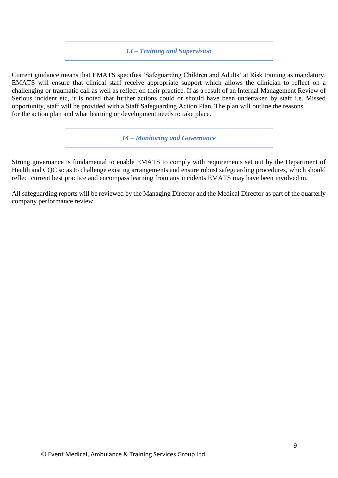#### *13 – Training and Supervision*

Current guidance means that EMATS specifies 'Safeguarding Children and Adults' at Risk training as mandatory. EMATS will ensure that clinical staff receive appropriate support which allows the clinician to reflect on a challenging or traumatic call as well as reflect on their practice. If as a result of an Internal Management Review of Serious incident etc, it is noted that further actions could or should have been undertaken by staff i.e. Missed opportunity, staff will be provided with a Staff Safeguarding Action Plan. The plan will outline the reasons for the action plan and what learning or development needs to take place.

*14 – Monitoring and Governance*

Strong governance is fundamental to enable EMATS to comply with requirements set out by the Department of Health and CQC so as to challenge existing arrangements and ensure robust safeguarding procedures, which should reflect current best practice and encompass learning from any incidents EMATS may have been involved in.

All safeguarding reports will be reviewed by the Managing Director and the Medical Director as part of the quarterly company performance review.